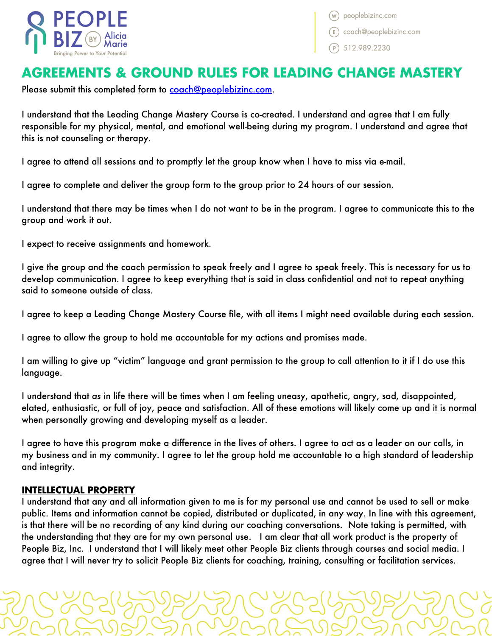

peoplebizinc.com coach@peoplebizinc.com

## **AGREEMENTS & GROUND RULES FOR LEADING CHANGE MASTERY**

Please submit this completed form to **coach@peoplebizinc.com**.

I understand that the Leading Change Mastery Course is co-created. I understand and agree that I am fully responsible for my physical, mental, and emotional well-being during my program. I understand and agree that this is not counseling or therapy.

I agree to attend all sessions and to promptly let the group know when I have to miss via e-mail.

I agree to complete and deliver the group form to the group prior to 24 hours of our session.

I understand that there may be times when I do not want to be in the program. I agree to communicate this to the group and work it out.

I expect to receive assignments and homework.

I give the group and the coach permission to speak freely and I agree to speak freely. This is necessary for us to develop communication. I agree to keep everything that is said in class confidential and not to repeat anything said to someone outside of class.

I agree to keep a Leading Change Mastery Course file, with all items I might need available during each session.

I agree to allow the group to hold me accountable for my actions and promises made.

I am willing to give up "victim" language and grant permission to the group to call attention to it if I do use this language.

I understand that *as* in life there will be times when I am feeling uneasy, apathetic, angry, sad, disappointed, elated, enthusiastic, or full of joy, peace and satisfaction. All of these emotions will likely come up and it is normal when personally growing and developing myself as a leader.

I agree to have this program make a difference in the lives of others. I agree to act as a leader on our calls, in my business and in my community. I agree to let the group hold me accountable to a high standard of leadership and integrity.

## **INTELLECTUAL PROPERTY**

I understand that any and all information given to me is for my personal use and cannot be used to sell or make public. Items and information cannot be copied, distributed or duplicated, in any way. In line with this agreement, is that there will be no recording of any kind during our coaching conversations. Note taking is permitted, with the understanding that they are for my own personal use. I am clear that all work product is the property of People Biz, Inc. I understand that I will likely meet other People Biz clients through courses and social media. I agree that I will never try to solicit People Biz clients for coaching, training, consulting or facilitation services.